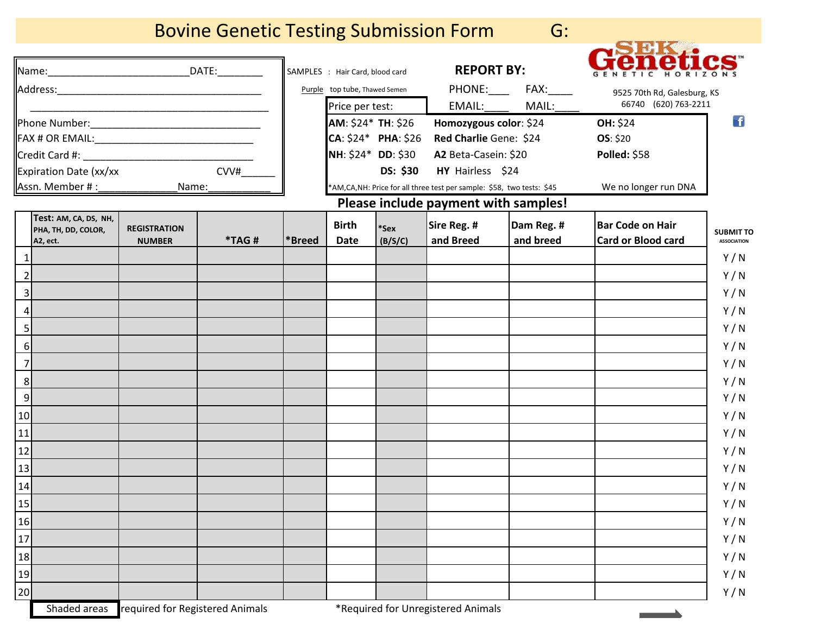## Bovine Genetic Testing Submission Form G:



| _DATE:___________                                                   | SAMPLES : Hair Card, blood card |                                                   | <b>REPORT BY:</b> |                                                                       |                       |                             |                    |
|---------------------------------------------------------------------|---------------------------------|---------------------------------------------------|-------------------|-----------------------------------------------------------------------|-----------------------|-----------------------------|--------------------|
|                                                                     | Purple top tube, Thawed Semen   |                                                   |                   |                                                                       | PHONE:_____ FAX:_____ | 9525 70th Rd, Galesburg, KS |                    |
|                                                                     |                                 | Price per test:                                   |                   | EMAIL:                                                                | MAIL:                 | 66740 (620) 763-2211        |                    |
|                                                                     |                                 | AM: \$24* TH: \$26                                |                   | Homozygous color: \$24                                                |                       | OH: \$24                    | $\vert f \vert$    |
|                                                                     |                                 | $CA: $24*$ PHA: \$26<br><b>NH: \$24* DD: \$30</b> |                   | Red Charlie Gene: \$24<br>A2 Beta-Casein: \$20                        |                       | <b>OS: \$20</b>             |                    |
| Credit Card #:                                                      |                                 |                                                   |                   |                                                                       |                       | Polled: \$58                |                    |
| CVV#<br>Expiration Date (xx/xx                                      |                                 |                                                   | <b>DS: \$30</b>   | HY Hairless \$24                                                      |                       |                             |                    |
| Assn. Member # : _______________<br>Name:                           |                                 |                                                   |                   | *AM,CA,NH: Price for all three test per sample: \$58, two tests: \$45 |                       | We no longer run DNA        |                    |
|                                                                     |                                 |                                                   |                   | Please include payment with samples!                                  |                       |                             |                    |
| Test: AM, CA, DS, NH,<br><b>REGISTRATION</b><br>PHA, TH, DD, COLOR, |                                 | <b>Birth</b>                                      | *Sex              | Sire Reg. #                                                           | Dam Reg. #            | <b>Bar Code on Hair</b>     | <b>SUBMIT TO</b>   |
| *TAG#<br><b>NUMBER</b><br>A2, ect.                                  | *Breed                          | <b>Date</b>                                       | (B/S/C)           | and Breed                                                             | and breed             | <b>Card or Blood card</b>   | <b>ASSOCIATION</b> |
|                                                                     |                                 |                                                   |                   |                                                                       |                       |                             | Y/N                |
| $\overline{2}$                                                      |                                 |                                                   |                   |                                                                       |                       |                             | Y/N                |
| 3                                                                   |                                 |                                                   |                   |                                                                       |                       |                             | Y/N                |
| 4                                                                   |                                 |                                                   |                   |                                                                       |                       |                             | Y/N                |
| 5                                                                   |                                 |                                                   |                   |                                                                       |                       |                             | Y/N                |
| $6 \mid$                                                            |                                 |                                                   |                   |                                                                       |                       |                             | Y/N                |
| $\overline{7}$                                                      |                                 |                                                   |                   |                                                                       |                       |                             | Y/N                |
| 8                                                                   |                                 |                                                   |                   |                                                                       |                       |                             | Y/N                |
| $\overline{9}$                                                      |                                 |                                                   |                   |                                                                       |                       |                             | Y/N                |
| 10                                                                  |                                 |                                                   |                   |                                                                       |                       |                             | Y/N                |
| 11                                                                  |                                 |                                                   |                   |                                                                       |                       |                             | Y/N                |
| 12                                                                  |                                 |                                                   |                   |                                                                       |                       |                             | Y/N                |
| 13                                                                  |                                 |                                                   |                   |                                                                       |                       |                             | Y/N                |
| 14                                                                  |                                 |                                                   |                   |                                                                       |                       |                             | Y/N                |
| <b>15</b>                                                           |                                 |                                                   |                   |                                                                       |                       |                             | Y/N                |
| 16                                                                  |                                 |                                                   |                   |                                                                       |                       |                             | Y/N                |
| 17                                                                  |                                 |                                                   |                   |                                                                       |                       |                             | Y/N                |
| 18                                                                  |                                 |                                                   |                   |                                                                       |                       |                             | Y/N                |
| 19                                                                  |                                 |                                                   |                   |                                                                       |                       |                             | Y/N                |
| 20                                                                  |                                 |                                                   |                   |                                                                       |                       |                             |                    |